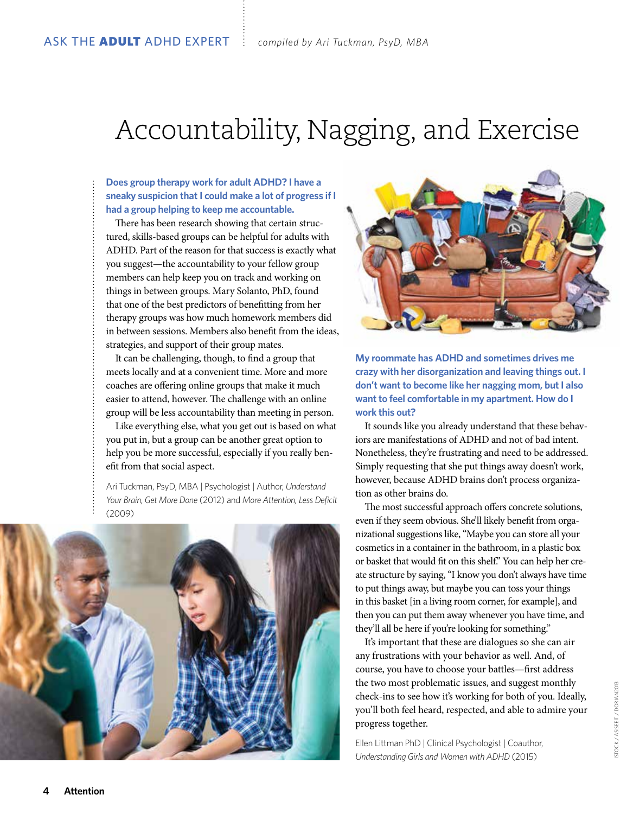## Accountability, Nagging, and Exercise

## **Does group therapy work for adult ADHD? I have a sneaky suspicion that I could make a lot of progress if I had a group helping to keep me accountable.**

There has been research showing that certain structured, skills-based groups can be helpful for adults with ADHD. Part of the reason for that success is exactly what you suggest—the accountability to your fellow group members can help keep you on track and working on things in between groups. Mary Solanto, PhD, found that one of the best predictors of benefitting from her therapy groups was how much homework members did in between sessions. Members also benefit from the ideas, strategies, and support of their group mates.

It can be challenging, though, to find a group that meets locally and at a convenient time. More and more coaches are offering online groups that make it much easier to attend, however. The challenge with an online group will be less accountability than meeting in person.

Like everything else, what you get out is based on what you put in, but a group can be another great option to help you be more successful, especially if you really benefit from that social aspect.

Ari Tuckman, PsyD, MBA | Psychologist | Author, *Understand Your Brain, Get More Done* (2012) and *More Attention, Less Deficit* (2009)





**My roommate has ADHD and sometimes drives me crazy with her disorganization and leaving things out. I don't want to become like her nagging mom, but I also want to feel comfortable in my apartment. How do I work this out?**

It sounds like you already understand that these behaviors are manifestations of ADHD and not of bad intent. Nonetheless, they're frustrating and need to be addressed. Simply requesting that she put things away doesn't work, however, because ADHD brains don't process organization as other brains do.

The most successful approach offers concrete solutions, even if they seem obvious. She'll likely benefit from organizational suggestions like, "Maybe you can store all your cosmetics in a container in the bathroom, in a plastic box or basket that would fit on this shelf." You can help her create structure by saying, "I know you don't always have time to put things away, but maybe you can toss your things in this basket [in a living room corner, for example], and then you can put them away whenever you have time, and they'll all be here if you're looking for something."

It's important that these are dialogues so she can air any frustrations with your behavior as well. And, of course, you have to choose your battles—first address the two most problematic issues, and suggest monthly check-ins to see how it's working for both of you. Ideally, you'll both feel heard, respected, and able to admire your progress together.

Ellen Littman PhD | Clinical Psychologist | Coauthor, *Understanding Girls and Women with ADHD* (2015)